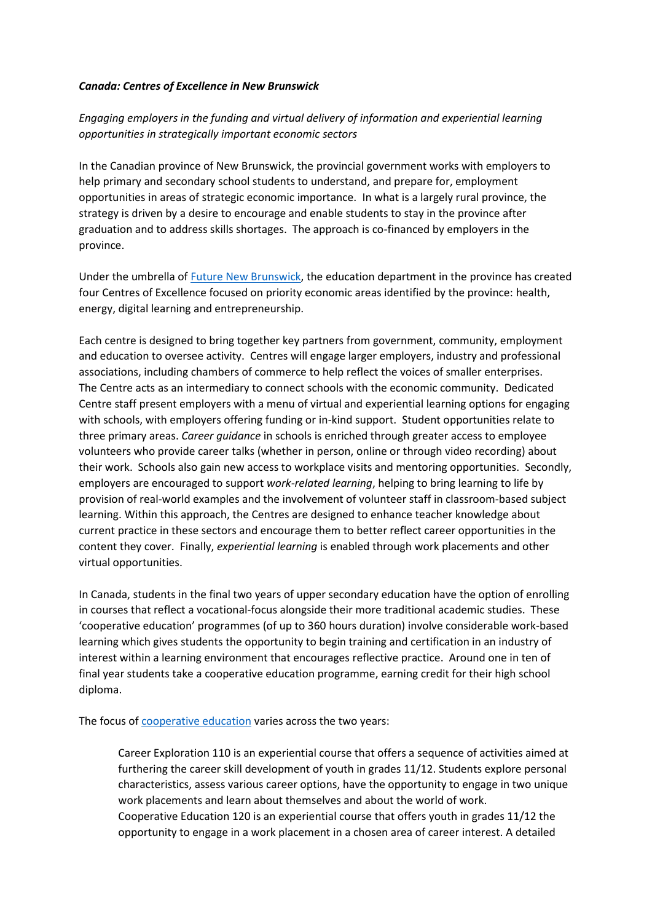## *Canada: Centres of Excellence in New Brunswick*

## *Engaging employers in the funding and virtual delivery of information and experiential learning opportunities in strategically important economic sectors*

In the Canadian province of New Brunswick, the provincial government works with employers to help primary and secondary school students to understand, and prepare for, employment opportunities in areas of strategic economic importance. In what is a largely rural province, the strategy is driven by a desire to encourage and enable students to stay in the province after graduation and to address skills shortages. The approach is co-financed by employers in the province.

Under the umbrella of [Future New Brunswick,](https://futurenewbrunswick.ca/about/) the education department in the province has created four Centres of Excellence focused on priority economic areas identified by the province: health, energy, digital learning and entrepreneurship.

Each centre is designed to bring together key partners from government, community, employment and education to oversee activity. Centres will engage larger employers, industry and professional associations, including chambers of commerce to help reflect the voices of smaller enterprises. The Centre acts as an intermediary to connect schools with the economic community. Dedicated Centre staff present employers with a menu of virtual and experiential learning options for engaging with schools, with employers offering funding or in-kind support. Student opportunities relate to three primary areas. *Career guidance* in schools is enriched through greater access to employee volunteers who provide career talks (whether in person, online or through video recording) about their work. Schools also gain new access to workplace visits and mentoring opportunities. Secondly, employers are encouraged to support *work-related learning*, helping to bring learning to life by provision of real-world examples and the involvement of volunteer staff in classroom-based subject learning. Within this approach, the Centres are designed to enhance teacher knowledge about current practice in these sectors and encourage them to better reflect career opportunities in the content they cover. Finally, *experiential learning* is enabled through work placements and other virtual opportunities.

In Canada, students in the final two years of upper secondary education have the option of enrolling in courses that reflect a vocational-focus alongside their more traditional academic studies. These 'cooperative education' programmes (of up to 360 hours duration) involve considerable work-based learning which gives students the opportunity to begin training and certification in an industry of interest within a learning environment that encourages reflective practice. Around one in ten of final year students take a cooperative education programme, earning credit for their high school diploma.

The focus of [cooperative education](https://www2.gnb.ca/content/dam/gnb/Departments/ed/pdf/K12/curric/Coop/GuidelinesAndProceduresCareerExploration110CoopEducation120.pdf) varies across the two years:

Career Exploration 110 is an experiential course that offers a sequence of activities aimed at furthering the career skill development of youth in grades 11/12. Students explore personal characteristics, assess various career options, have the opportunity to engage in two unique work placements and learn about themselves and about the world of work. Cooperative Education 120 is an experiential course that offers youth in grades 11/12 the opportunity to engage in a work placement in a chosen area of career interest. A detailed